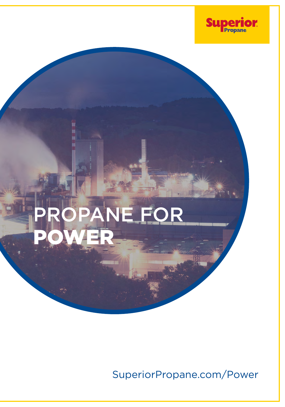

# PANE FOR POWER

[SuperiorPropane.com/Power](https://www.superiorpropane.com/power)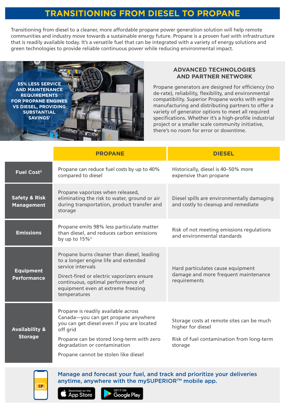## **TRANSITIONING FROM DIESEL TO PROPANE**

Transitioning from diesel to a cleaner, more affordable propane power generation solution will help remote communities and industry move towards a sustainable energy future. Propane is a proven fuel with infrastructure that is readily available today. It's a versatile fuel that can be integrated with a variety of energy solutions and green technologies to provide reliable continuous power while reducing environmental impact.

**55% LESS SERVICE AND MAINTENANCE REQUIREMENTS FOR PROPANE ENGINES VS DIESEL, PROVIDING SUBSTANTIAL SAVINGS1**

#### **ADVANCED TECHNOLOGIES AND PARTNER NETWORK**

Propane generators are designed for efficiency (no de-rate), reliability, flexibility, and environmental compatibility. Superior Propane works with engine manufacturing and distributing partners to offer a variety of generator options to meet all required specifications. Whether it's a high-profile industrial project or a smaller scale community initiative, there's no room for error or downtime.

|                                               | <b>PROPANE</b>                                                                                                                                                                                                                                            | <b>DIESEL</b>                                                                                                          |
|-----------------------------------------------|-----------------------------------------------------------------------------------------------------------------------------------------------------------------------------------------------------------------------------------------------------------|------------------------------------------------------------------------------------------------------------------------|
| Fuel Cost <sup>2</sup>                        | Propane can reduce fuel costs by up to 40%<br>compared to diesel                                                                                                                                                                                          | Historically, diesel is 40-50% more<br>expensive than propane                                                          |
| <b>Safety &amp; Risk</b><br><b>Management</b> | Propane vaporizes when released,<br>eliminating the risk to water, ground or air<br>during transportation, product transfer and<br>storage                                                                                                                | Diesel spills are environmentally damaging<br>and costly to cleanup and remediate                                      |
| <b>Emissions</b>                              | Propane emits 98% less particulate matter<br>than diesel, and reduces carbon emissions<br>by up to $15\%$ <sup>3</sup>                                                                                                                                    | Risk of not meeting emissions regulations<br>and environmental standards                                               |
| <b>Equipment</b><br><b>Performance</b>        | Propane burns cleaner than diesel, leading<br>to a longer engine life and extended<br>service intervals<br>Direct-fired or electric vaporizers ensure<br>continuous, optimal performance of<br>equipment even at extreme freezing<br>temperatures         | Hard particulates cause equipment<br>damage and more frequent maintenance<br>requirements                              |
| <b>Availability &amp;</b><br><b>Storage</b>   | Propane is readily available across<br>Canada-you can get propane anywhere<br>you can get diesel even if you are located<br>off grid<br>Propane can be stored long-term with zero<br>degradation or contamination<br>Propane cannot be stolen like diesel | Storage costs at remote sites can be much<br>higher for diesel<br>Risk of fuel contamination from long-term<br>storage |



Manage and forecast your fuel, and track and prioritize your deliveries anytime, any[where with the myS](https://play.google.com/store/apps/details?id=com.superiorplus.ca)UPERIOR™ mobile app.

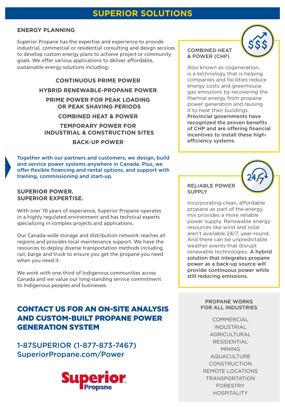## **SUPERIOR SOLUTIONS**

#### **ENERGY PLANNING**

Superior Propane has the expertise and experience to provide industrial, commercial or residential consulting and design services to develop custom energy plans to achieve project or community goals. We offer various applications to deliver affordable, sustainable energy solutions including:

#### **CONTINUOUS PRIME POWER**

#### **HYBRID RENEWABLE-PROPANE POWER**

**PRIME POWER FOR PEAK LOADING OR PEAK SHAVING PERIODS**

#### **COMBINED HEAT & POWER**

**TEMPORARY POWER FOR INDUSTRIAL & CONSTRUCTION SITES**

**BACK-UP POWER**

Together with our partners and customers, we design, build and service power systems anywhere in Canada. Plus, we offer flexible financing and rental options, and support with training, commissioning and start-up.

#### **SUPERIOR POWER. SUPERIOR EXPERTISE.**

With over 70 years of experience, Superior Propane operates in a highly regulated environment and has technical experts specializing in complex projects and applications.

Our Canada-wide storage and distribution network reaches all regions and provides local maintenance support. We have the resources to deploy diverse transportation methods including rail, barge and truck to ensure you get the propane you need when you need it.

We work with one-third of Indigenous communities across Canada and we value our long-standing service commitment to Indigenous peoples and businesses.

## CONTACT US FOR AN ON-SITE ANALYSIS FOR ALL INDUSTRIES AND CUSTOM-BUILT PROPANE POWER GENERATION SYSTEM

1-87SUPERIOR (1-877-873-7467) [SuperiorPropane.com/Power](https://www.superiorpropane.com/power)



#### COMBINED HEAT & POWER (CHP)



Provincial governments have recognized the proven benefits of CHP and are offering financial incentives to install these highefficiency systems.



#### RELIABLE POWER **SUPPLY**

Incorporating clean, affordable propane as part of the energy mix provides a more reliable power supply. Renewable energy resources like wind and solar aren't available 24/7, year-round. And there can be unpredictable weather events that disrupt renewable technologies. A hybrid solution that integrates propane power as a back-up source will provide continuous power while still reducing emissions.

## PROPANE WORKS

**COMMERCIAL** INDUSTRIAL **AGRICULTURAL** RESIDENTIAL MINING AQUACULTURE CONSTRUCTION REMOTE LOCATIONS TRANSPORTATION FORESTRY HOSPITALITY